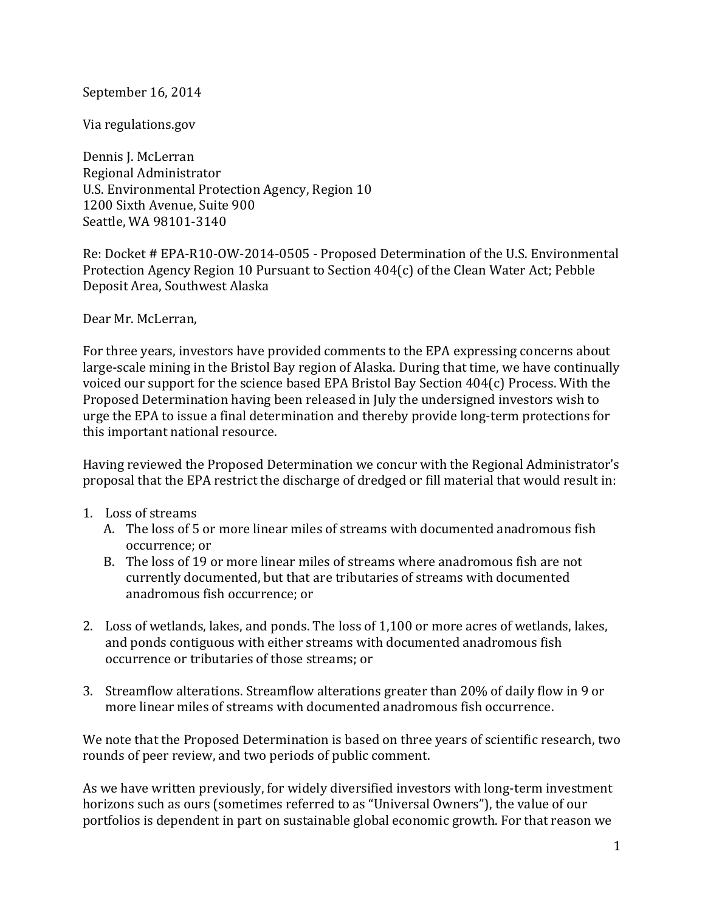September 16, 2014

Via regulations.gov

Dennis J. McLerran Regional Administrator U.S. Environmental Protection Agency, Region 10 1200 Sixth Avenue, Suite 900 Seattle, WA 98101-3140

Re: Docket # EPA-R10-OW-2014-0505 - Proposed Determination of the U.S. Environmental Protection Agency Region 10 Pursuant to Section 404(c) of the Clean Water Act; Pebble Deposit Area, Southwest Alaska

Dear Mr. McLerran,

For three years, investors have provided comments to the EPA expressing concerns about large-scale mining in the Bristol Bay region of Alaska. During that time, we have continually voiced our support for the science based EPA Bristol Bay Section 404(c) Process. With the Proposed Determination having been released in July the undersigned investors wish to urge the EPA to issue a final determination and thereby provide long-term protections for this important national resource.

Having reviewed the Proposed Determination we concur with the Regional Administrator's proposal that the EPA restrict the discharge of dredged or fill material that would result in:

- 1. Loss of streams
	- A. The loss of 5 or more linear miles of streams with documented anadromous fish occurrence; or
	- B. The loss of 19 or more linear miles of streams where anadromous fish are not currently documented, but that are tributaries of streams with documented anadromous fish occurrence; or
- 2. Loss of wetlands, lakes, and ponds. The loss of 1,100 or more acres of wetlands, lakes, and ponds contiguous with either streams with documented anadromous fish occurrence or tributaries of those streams; or
- 3. Streamflow alterations. Streamflow alterations greater than 20% of daily flow in 9 or more linear miles of streams with documented anadromous fish occurrence.

We note that the Proposed Determination is based on three years of scientific research, two rounds of peer review, and two periods of public comment.

As we have written previously, for widely diversified investors with long-term investment horizons such as ours (sometimes referred to as "Universal Owners"), the value of our portfolios is dependent in part on sustainable global economic growth. For that reason we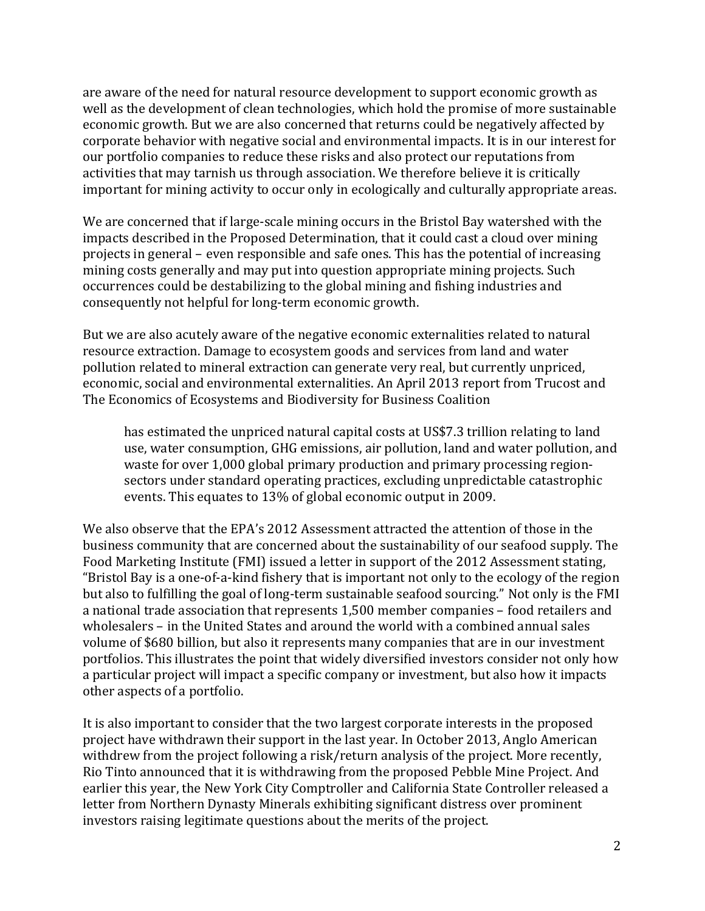are aware of the need for natural resource development to support economic growth as well as the development of clean technologies, which hold the promise of more sustainable economic growth. But we are also concerned that returns could be negatively affected by corporate behavior with negative social and environmental impacts. It is in our interest for our portfolio companies to reduce these risks and also protect our reputations from activities that may tarnish us through association. We therefore believe it is critically important for mining activity to occur only in ecologically and culturally appropriate areas.

We are concerned that if large-scale mining occurs in the Bristol Bay watershed with the impacts described in the Proposed Determination, that it could cast a cloud over mining projects in general – even responsible and safe ones. This has the potential of increasing mining costs generally and may put into question appropriate mining projects. Such occurrences could be destabilizing to the global mining and fishing industries and consequently not helpful for long-term economic growth.

But we are also acutely aware of the negative economic externalities related to natural resource extraction. Damage to ecosystem goods and services from land and water pollution related to mineral extraction can generate very real, but currently unpriced, economic, social and environmental externalities. An April 2013 report from Trucost and The Economics of Ecosystems and Biodiversity for Business Coalition

has estimated the unpriced natural capital costs at US\$7.3 trillion relating to land use, water consumption, GHG emissions, air pollution, land and water pollution, and waste for over 1,000 global primary production and primary processing regionsectors under standard operating practices, excluding unpredictable catastrophic events. This equates to 13% of global economic output in 2009.

We also observe that the EPA's 2012 Assessment attracted the attention of those in the business community that are concerned about the sustainability of our seafood supply. The Food Marketing Institute (FMI) issued a letter in support of the 2012 Assessment stating, "Bristol Bay is a one-of-a-kind fishery that is important not only to the ecology of the region but also to fulfilling the goal of long-term sustainable seafood sourcing." Not only is the FMI a national trade association that represents 1,500 member companies – food retailers and wholesalers – in the United States and around the world with a combined annual sales volume of \$680 billion, but also it represents many companies that are in our investment portfolios. This illustrates the point that widely diversified investors consider not only how a particular project will impact a specific company or investment, but also how it impacts other aspects of a portfolio.

It is also important to consider that the two largest corporate interests in the proposed project have withdrawn their support in the last year. In October 2013, Anglo American withdrew from the project following a risk/return analysis of the project. More recently, Rio Tinto announced that it is withdrawing from the proposed Pebble Mine Project. And earlier this year, the New York City Comptroller and California State Controller released a letter from Northern Dynasty Minerals exhibiting significant distress over prominent investors raising legitimate questions about the merits of the project.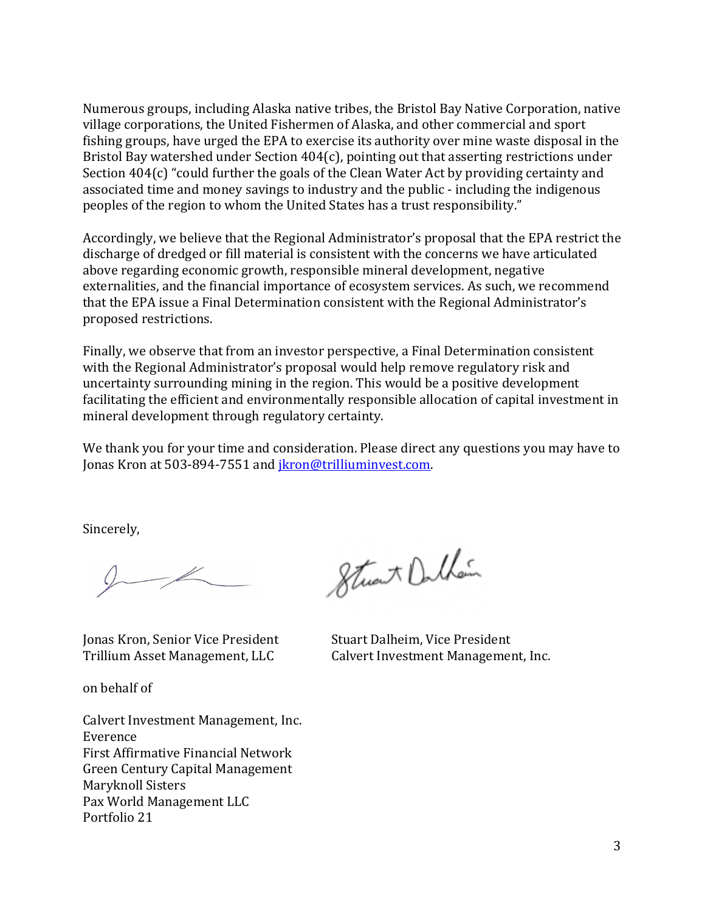Numerous groups, including Alaska native tribes, the Bristol Bay Native Corporation, native village corporations, the United Fishermen of Alaska, and other commercial and sport fishing groups, have urged the EPA to exercise its authority over mine waste disposal in the Bristol Bay watershed under Section 404(c), pointing out that asserting restrictions under Section 404(c) "could further the goals of the Clean Water Act by providing certainty and associated time and money savings to industry and the public - including the indigenous peoples of the region to whom the United States has a trust responsibility."

Accordingly, we believe that the Regional Administrator's proposal that the EPA restrict the discharge of dredged or fill material is consistent with the concerns we have articulated above regarding economic growth, responsible mineral development, negative externalities, and the financial importance of ecosystem services. As such, we recommend that the EPA issue a Final Determination consistent with the Regional Administrator's proposed restrictions.

Finally, we observe that from an investor perspective, a Final Determination consistent with the Regional Administrator's proposal would help remove regulatory risk and uncertainty surrounding mining in the region. This would be a positive development facilitating the efficient and environmentally responsible allocation of capital investment in mineral development through regulatory certainty.

We thank you for your time and consideration. Please direct any questions you may have to Jonas Kron at 503-894-7551 and *jkron@trilliuminvest.com.* 

Sincerely,

Jonas Kron, Senior Vice President Stuart Dalheim, Vice President

on behalf of

Calvert Investment Management, Inc. Everence First Affirmative Financial Network Green Century Capital Management Maryknoll Sisters Pax World Management LLC Portfolio 21

Strat Dalkain

Trillium Asset Management, LLC Calvert Investment Management, Inc.